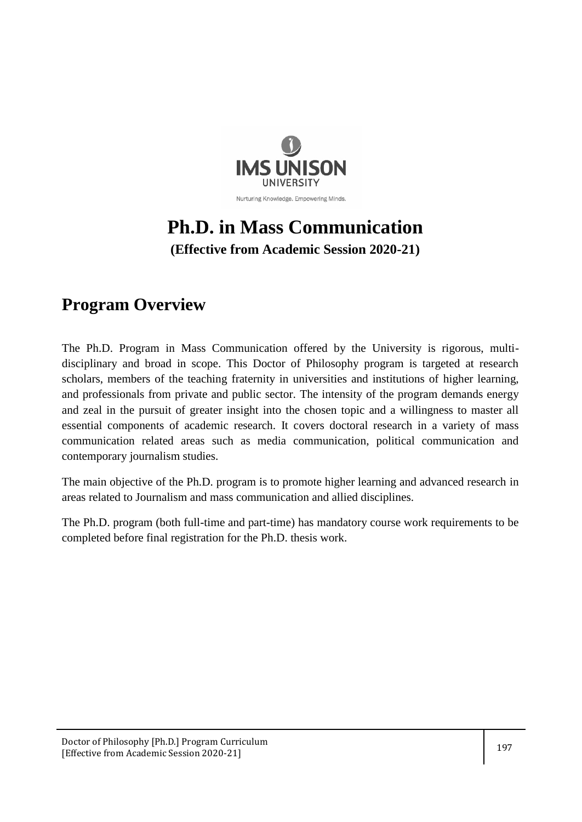

# **Ph.D. in Mass Communication**

**(Effective from Academic Session 2020-21)**

## **Program Overview**

The Ph.D. Program in Mass Communication offered by the University is rigorous, multidisciplinary and broad in scope. This Doctor of Philosophy program is targeted at research scholars, members of the teaching fraternity in universities and institutions of higher learning, and professionals from private and public sector. The intensity of the program demands energy and zeal in the pursuit of greater insight into the chosen topic and a willingness to master all essential components of academic research. It covers doctoral research in a variety of mass communication related areas such as media communication, political communication and contemporary journalism studies.

The main objective of the Ph.D. program is to promote higher learning and advanced research in areas related to Journalism and mass communication and allied disciplines.

The Ph.D. program (both full-time and part-time) has mandatory course work requirements to be completed before final registration for the Ph.D. thesis work.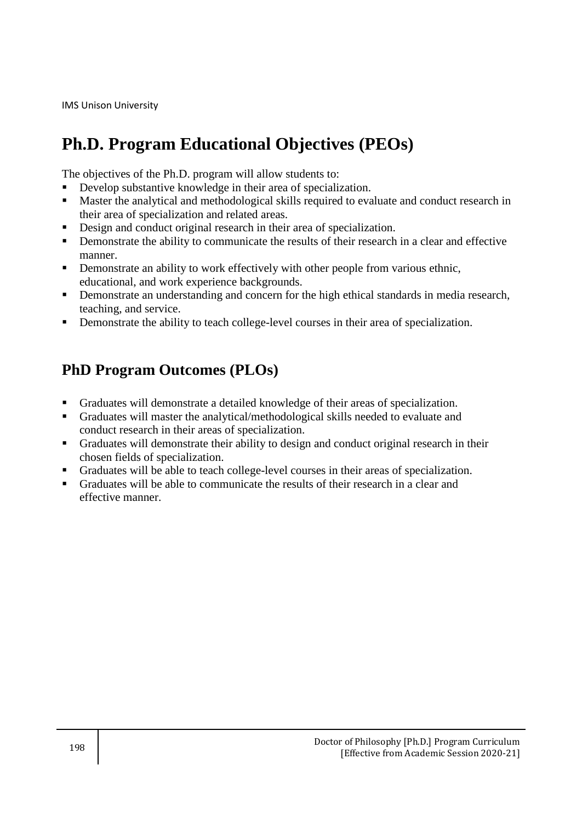## **Ph.D. Program Educational Objectives (PEOs)**

The objectives of the Ph.D. program will allow students to:

- Develop substantive knowledge in their area of specialization.
- **Master the analytical and methodological skills required to evaluate and conduct research in** their area of specialization and related areas.
- Design and conduct original research in their area of specialization.
- **•** Demonstrate the ability to communicate the results of their research in a clear and effective manner.
- **•** Demonstrate an ability to work effectively with other people from various ethnic, educational, and work experience backgrounds.
- Demonstrate an understanding and concern for the high ethical standards in media research, teaching, and service.
- Demonstrate the ability to teach college-level courses in their area of specialization.

### **PhD Program Outcomes (PLOs)**

- Graduates will demonstrate a detailed knowledge of their areas of specialization.
- Graduates will master the analytical/methodological skills needed to evaluate and conduct research in their areas of specialization.
- Graduates will demonstrate their ability to design and conduct original research in their chosen fields of specialization.
- Graduates will be able to teach college-level courses in their areas of specialization.
- Graduates will be able to communicate the results of their research in a clear and effective manner.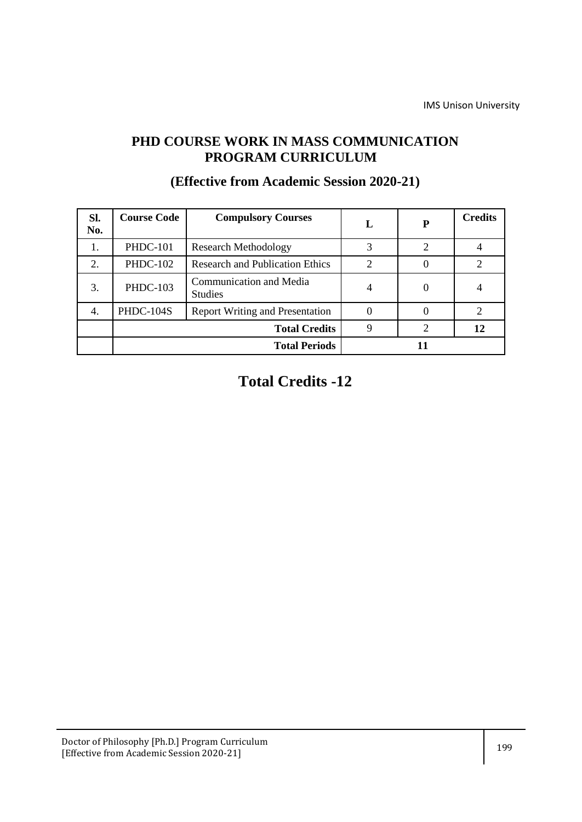### **PHD COURSE WORK IN MASS COMMUNICATION PROGRAM CURRICULUM**

| SI.<br>No. | <b>Course Code</b> | <b>Compulsory Courses</b>                 | L                           | P              | <b>Credits</b> |
|------------|--------------------|-------------------------------------------|-----------------------------|----------------|----------------|
| 1.         | <b>PHDC-101</b>    | <b>Research Methodology</b>               | 3                           | $\overline{2}$ |                |
| 2.         | <b>PHDC-102</b>    | <b>Research and Publication Ethics</b>    | $\mathcal{D}_{\mathcal{L}}$ |                | 2              |
| 3.         | <b>PHDC-103</b>    | Communication and Media<br><b>Studies</b> | $\overline{4}$              | $\Omega$       |                |
| 4.         | PHDC-104S          | <b>Report Writing and Presentation</b>    |                             |                | 2              |
|            |                    | <b>Total Credits</b>                      | 9                           |                | 12             |
|            |                    | <b>Total Periods</b>                      |                             |                |                |

### **(Effective from Academic Session 2020-21)**

## **Total Credits -12**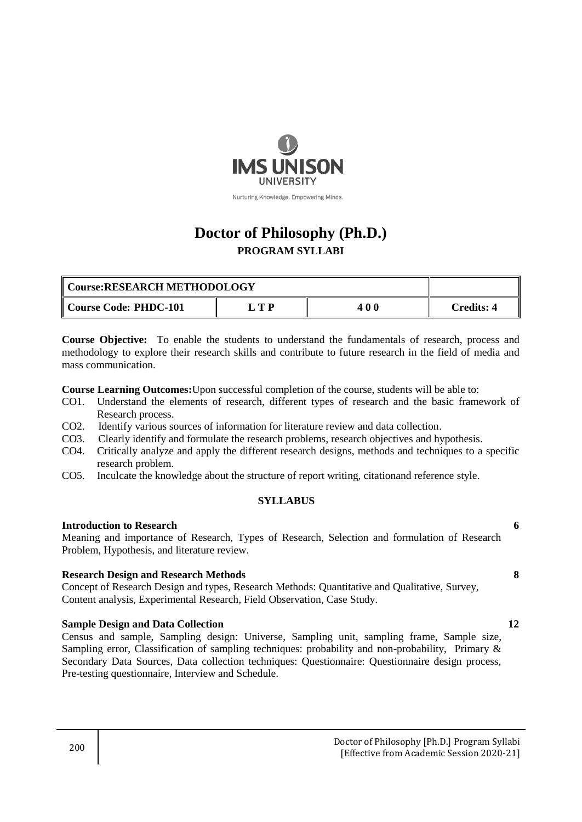

### **Doctor of Philosophy (Ph.D.) PROGRAM SYLLABI**

| Course:RESEARCH METHODOLOGY |    |     |            |
|-----------------------------|----|-----|------------|
| Course Code: PHDC-101       | TР | 400 | Credits: 4 |

**Course Objective:** To enable the students to understand the fundamentals of research, process and methodology to explore their research skills and contribute to future research in the field of media and mass communication.

**Course Learning Outcomes:**Upon successful completion of the course, students will be able to:

- CO1. Understand the elements of research, different types of research and the basic framework of Research process.
- CO2. Identify various sources of information for literature review and data collection.
- CO3. Clearly identify and formulate the research problems, research objectives and hypothesis.
- CO4. Critically analyze and apply the different research designs, methods and techniques to a specific research problem.
- CO5. Inculcate the knowledge about the structure of report writing, citationand reference style.

#### **SYLLABUS**

#### **Introduction to Research 6**

Meaning and importance of Research, Types of Research, Selection and formulation of Research Problem, Hypothesis, and literature review.

#### **Research Design and Research Methods 8**

Concept of Research Design and types, Research Methods: Quantitative and Qualitative, Survey, Content analysis, Experimental Research, Field Observation, Case Study.

#### **Sample Design and Data Collection 12**

Census and sample, Sampling design: Universe, Sampling unit, sampling frame, Sample size, Sampling error, Classification of sampling techniques: probability and non-probability, Primary & Secondary Data Sources, Data collection techniques: Questionnaire: Questionnaire design process, Pre-testing questionnaire, Interview and Schedule.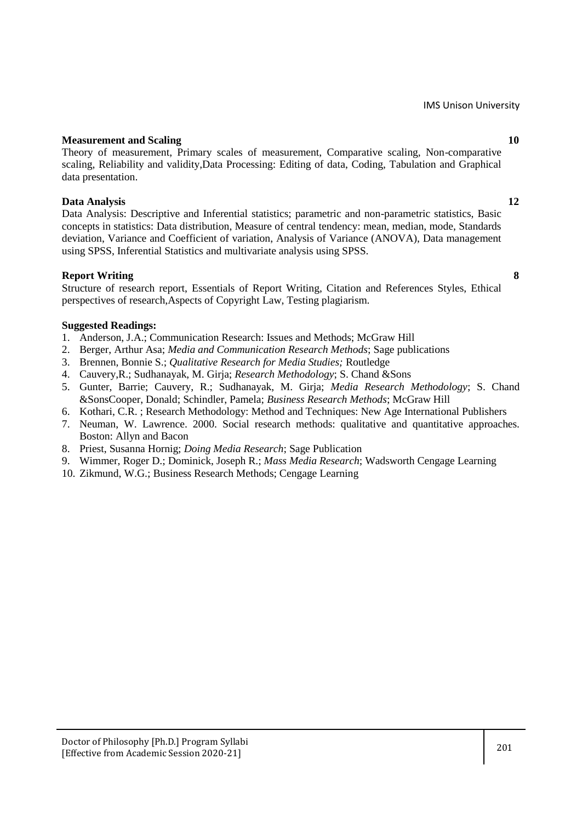#### **Measurement and Scaling 10 and 10 and 10 and 10 and 10 and 10 and 10 and 10 and 10 and 10 and 10 and 10 and 10 and 10 and 10 and 10 and 10 and 10 and 10 and 10 and 10 and 10 and 10 and 10 and 10 and 10 and 10 and 10 and 1**

Theory of measurement, Primary scales of measurement, Comparative scaling, Non-comparative scaling, Reliability and validity,Data Processing: Editing of data, Coding, Tabulation and Graphical data presentation.

#### **Data Analysis 12**

Data Analysis: Descriptive and Inferential statistics; parametric and non-parametric statistics, Basic concepts in statistics: Data distribution, Measure of central tendency: mean, median, mode, Standards deviation, Variance and Coefficient of variation, Analysis of Variance (ANOVA), Data management using SPSS, Inferential Statistics and multivariate analysis using SPSS.

#### **Report Writing 8**

Structure of research report, Essentials of Report Writing, Citation and References Styles, Ethical perspectives of research,Aspects of Copyright Law, Testing plagiarism.

#### **Suggested Readings:**

- 1. Anderson, J.A.; Communication Research: Issues and Methods; McGraw Hill
- 2. Berger, Arthur Asa; *Media and Communication Research Methods*; Sage publications
- 3. Brennen, Bonnie S.; *Qualitative Research for Media Studies;* Routledge
- 4. Cauvery,R.; Sudhanayak, M. Girja; *Research Methodology*; S. Chand &Sons
- 5. Gunter, Barrie; Cauvery, R.; Sudhanayak, M. Girja; *Media Research Methodology*; S. Chand &SonsCooper, Donald; Schindler, Pamela; *Business Research Methods*; McGraw Hill
- 6. Kothari, C.R. ; Research Methodology: Method and Techniques: New Age International Publishers
- 7. Neuman, W. Lawrence. 2000. Social research methods: qualitative and quantitative approaches. Boston: Allyn and Bacon
- 8. Priest, Susanna Hornig; *Doing Media Research*; Sage Publication
- 9. Wimmer, Roger D.; Dominick, Joseph R.; *Mass Media Research*; Wadsworth Cengage Learning
- 10. Zikmund, W.G.; Business Research Methods; Cengage Learning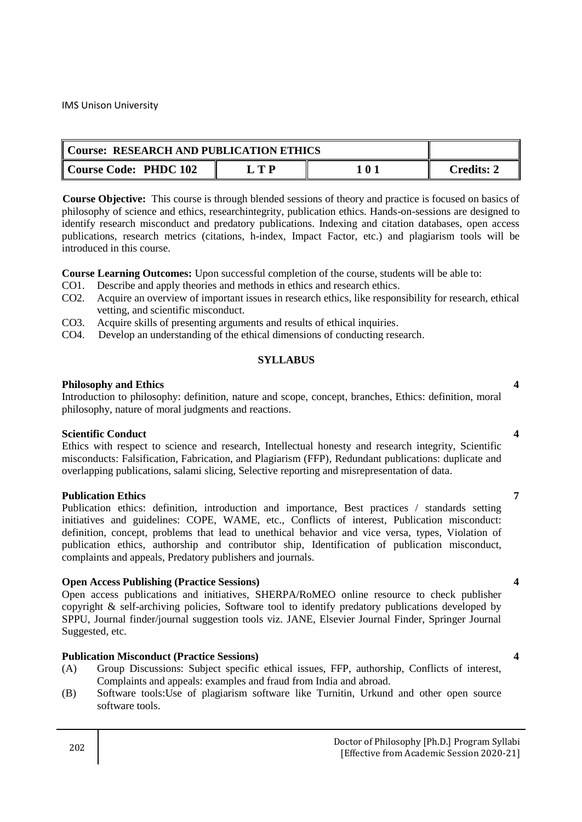| Course: RESEARCH AND PUBLICATION ETHICS |       |     |            |
|-----------------------------------------|-------|-----|------------|
| Course Code: PHDC 102                   | - T D | 101 | Credits: 2 |

**Course Objective:** This course is through blended sessions of theory and practice is focused on basics of philosophy of science and ethics, researchintegrity, publication ethics. Hands-on-sessions are designed to identify research misconduct and predatory publications. Indexing and citation databases, open access publications, research metrics (citations, h-index, Impact Factor, etc.) and plagiarism tools will be introduced in this course.

**Course Learning Outcomes:** Upon successful completion of the course, students will be able to:

- CO1. Describe and apply theories and methods in ethics and research ethics.
- CO2. Acquire an overview of important issues in research ethics, like responsibility for research, ethical vetting, and scientific misconduct.
- CO3. Acquire skills of presenting arguments and results of ethical inquiries.
- CO4. Develop an understanding of the ethical dimensions of conducting research.

#### **SYLLABUS**

#### **Philosophy and Ethics 4 4**

Introduction to philosophy: definition, nature and scope, concept, branches, Ethics: definition, moral philosophy, nature of moral judgments and reactions.

#### **Scientific Conduct 4**

Ethics with respect to science and research, Intellectual honesty and research integrity, Scientific misconducts: Falsification, Fabrication, and Plagiarism (FFP), Redundant publications: duplicate and overlapping publications, salami slicing, Selective reporting and misrepresentation of data.

#### **Publication Ethics 7**

Publication ethics: definition, introduction and importance, Best practices / standards setting initiatives and guidelines: COPE, WAME, etc., Conflicts of interest, Publication misconduct: definition, concept, problems that lead to unethical behavior and vice versa, types, Violation of publication ethics, authorship and contributor ship, Identification of publication misconduct, complaints and appeals, Predatory publishers and journals.

#### **Open Access Publishing (Practice Sessions) 4**

Open access publications and initiatives, SHERPA/RoMEO online resource to check publisher copyright & self-archiving policies, Software tool to identify predatory publications developed by SPPU, Journal finder/journal suggestion tools viz. JANE, Elsevier Journal Finder, Springer Journal Suggested, etc.

### **Publication Misconduct (Practice Sessions) 4**

- (A) Group Discussions: Subject specific ethical issues, FFP, authorship, Conflicts of interest, Complaints and appeals: examples and fraud from India and abroad.
- (B) Software tools:Use of plagiarism software like Turnitin, Urkund and other open source software tools.

#### 202 Doctor of Philosophy [Ph.D.] Program Syllabi [Effective from Academic Session 2020-21]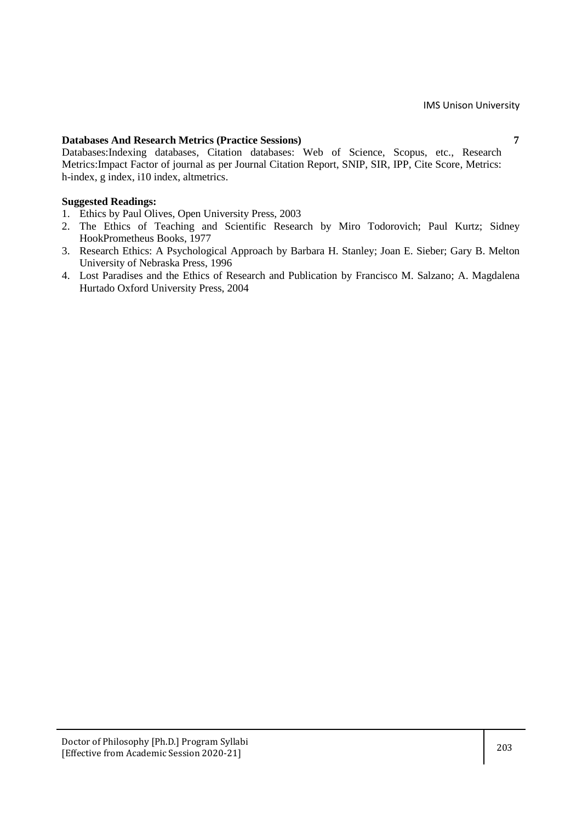### **Databases And Research Metrics (Practice Sessions) 7**

Databases:Indexing databases, Citation databases: Web of Science, Scopus, etc., Research Metrics:Impact Factor of journal as per Journal Citation Report, SNIP, SIR, IPP, Cite Score, Metrics: h-index, g index, i10 index, altmetrics.

#### **Suggested Readings:**

- 1. Ethics by Paul Olives, Open University Press, 2003
- 2. [The Ethics of Teaching and Scientific Research](https://www.questia.com/library/98084435/the-ethics-of-teaching-and-scientific-research) by Miro Todorovich; Paul Kurtz; Sidney HookPrometheus Books, 1977
- 3. [Research Ethics: A Psychological Approach](https://www.questia.com/library/3651697/research-ethics-a-psychological-approach) by Barbara H. Stanley; Joan E. Sieber; Gary B. Melton University of Nebraska Press, 1996
- 4. [Lost Paradises and the Ethics of Research and Publication](https://www.questia.com/library/104838058/lost-paradises-and-the-ethics-of-research-and-publication) by Francisco M. Salzano; A. Magdalena Hurtado Oxford University Press, 2004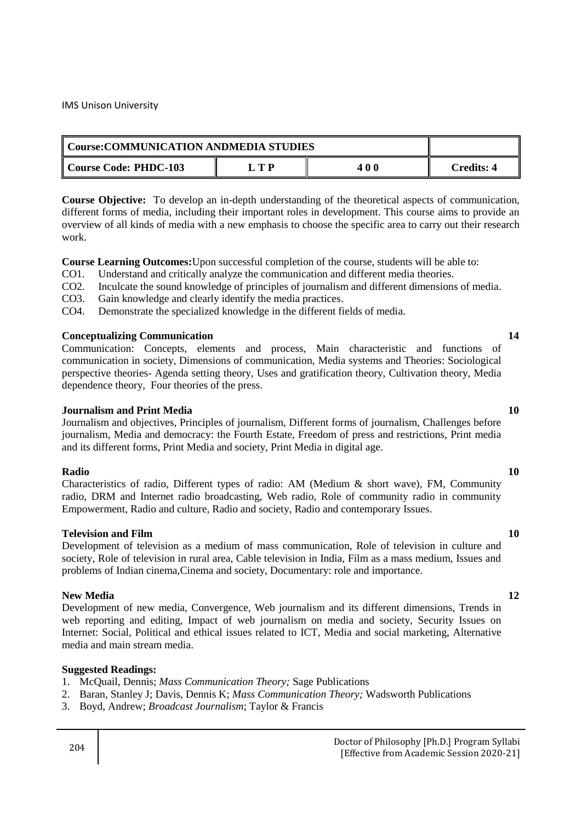| Course: COMMUNICATION ANDMEDIA STUDIES |            |     |                   |
|----------------------------------------|------------|-----|-------------------|
| Course Code: PHDC-103                  | $\Box$ T P | 400 | <b>Credits: 4</b> |

**Course Objective:** To develop an in-depth understanding of the theoretical aspects of communication, different forms of media, including their important roles in development. This course aims to provide an overview of all kinds of media with a new emphasis to choose the specific area to carry out their research work.

**Course Learning Outcomes:**Upon successful completion of the course, students will be able to:

- CO1. Understand and critically analyze the communication and different media theories.
- CO2. Inculcate the sound knowledge of principles of journalism and different dimensions of media.
- CO3. Gain knowledge and clearly identify the media practices.
- CO4. Demonstrate the specialized knowledge in the different fields of media.

### **Conceptualizing Communication 14**

Communication: Concepts, elements and process, Main characteristic and functions of communication in society, Dimensions of communication, Media systems and Theories: Sociological perspective theories- Agenda setting theory, Uses and gratification theory, Cultivation theory, Media dependence theory, Four theories of the press.

#### **Journalism and Print Media 10**

Journalism and objectives, Principles of journalism, Different forms of journalism, Challenges before journalism, Media and democracy: the Fourth Estate, Freedom of press and restrictions, Print media and its different forms, Print Media and society, Print Media in digital age.

#### **Radio 10**

Characteristics of radio, Different types of radio: AM (Medium & short wave), FM, Community radio, DRM and Internet radio broadcasting, Web radio, Role of community radio in community Empowerment, Radio and culture, Radio and society, Radio and contemporary Issues.

#### **Television and Film 10 10**

Development of television as a medium of mass communication, Role of television in culture and society, Role of television in rural area, Cable television in India, Film as a mass medium, Issues and problems of Indian cinema,Cinema and society, Documentary: role and importance.

#### **New Media** 12

Development of new media, Convergence, Web journalism and its different dimensions, Trends in web reporting and editing, Impact of web journalism on media and society, Security Issues on Internet: Social, Political and ethical issues related to ICT, Media and social marketing, Alternative media and main stream media.

### **Suggested Readings:**

- 1. McQuail, Dennis; *Mass Communication Theory;* Sage Publications
- 2. Baran, Stanley J; Davis, Dennis K; *Mass Communication Theory;* Wadsworth Publications
- 3. Boyd, Andrew; *Broadcast Journalism*; Taylor & Francis

#### 204 Doctor of Philosophy [Ph.D.] Program Syllabi [Effective from Academic Session 2020-21]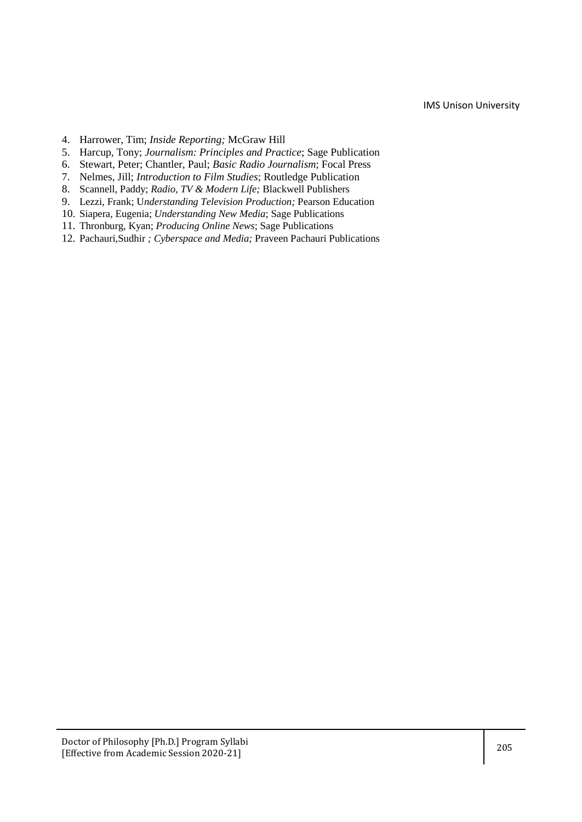- 4. Harrower, Tim; *Inside Reporting;* McGraw Hill
- 5. Harcup, Tony; *Journalism: Principles and Practice*; Sage Publication
- 6. Stewart, Peter; Chantler, Paul; *Basic Radio Journalism*; Focal Press
- 7. Nelmes, Jill; *Introduction to Film Studies*; Routledge Publication
- 8. Scannell, Paddy; *Radio, TV & Modern Life;* Blackwell Publishers
- 9. Lezzi, Frank; U*nderstanding Television Production;* Pearson Education
- 10. Siapera, Eugenia; *Understanding New Media*; Sage Publications
- 11. Thronburg, Kyan; *Producing Online News*; Sage Publications
- 12. Pachauri,Sudhir *; Cyberspace and Media;* Praveen Pachauri Publications